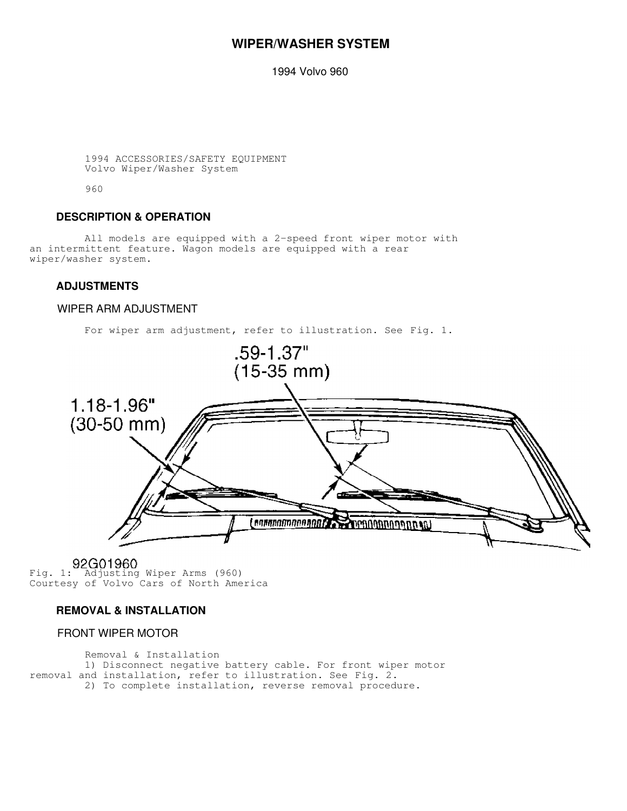# **WIPER/WASHER SYSTEM**

1994 Volvo 960

```
 1994 ACCESSORIES/SAFETY EQUIPMENT
Volvo Wiper/Washer System
```
960

### **DESCRIPTION & OPERATION**

 All models are equipped with a 2-speed front wiper motor with an intermittent feature. Wagon models are equipped with a rear wiper/washer system.

### **ADJUSTMENTS**

### WIPER ARM ADJUSTMENT



Fig. 1: Adjusting Wiper Arms (960) Courtesy of Volvo Cars of North America

# **REMOVAL & INSTALLATION**

# FRONT WIPER MOTOR

 Removal & Installation 1) Disconnect negative battery cable. For front wiper motor removal and installation, refer to illustration. See Fig. 2. 2) To complete installation, reverse removal procedure.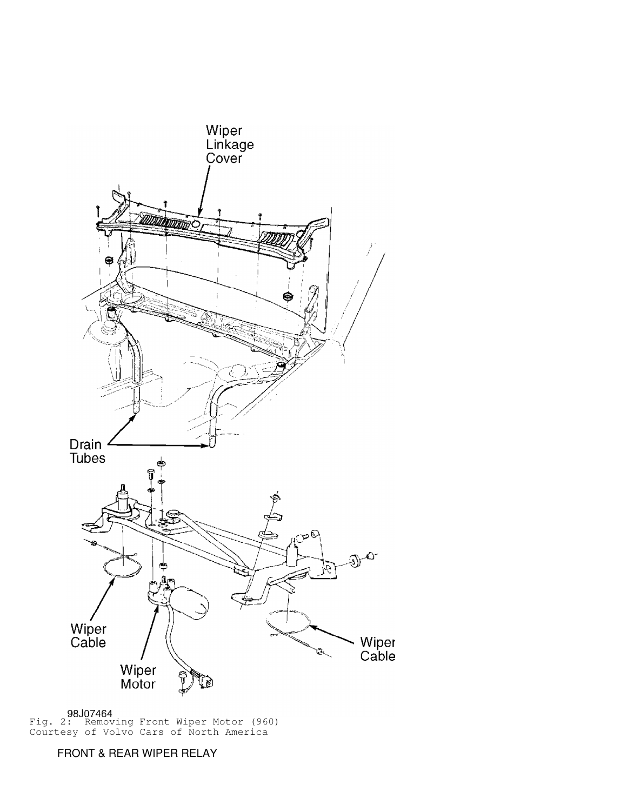

Fig. 2: Removing Front Wiper Motor (960) Courtesy of Volvo Cars of North America

FRONT & REAR WIPER RELAY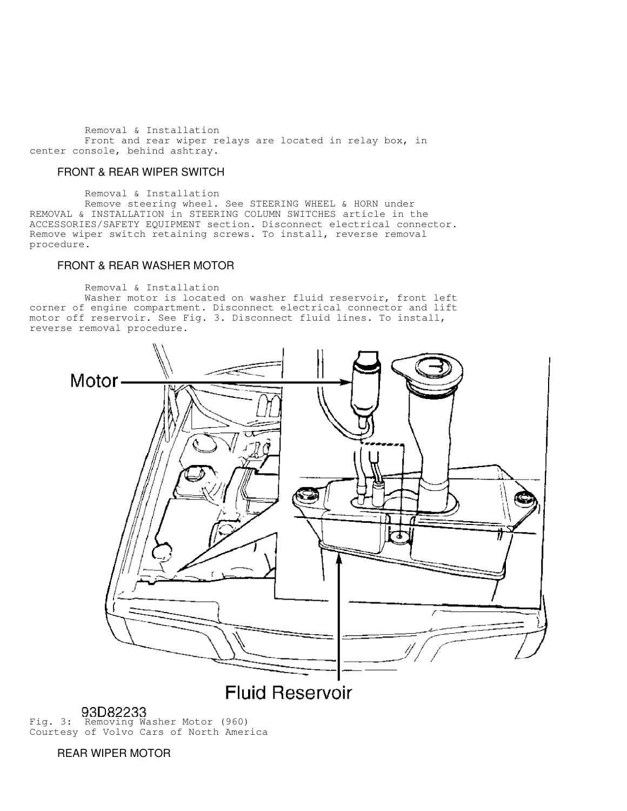Removal & Installation Front and rear wiper relays are located in relay box, in center console, behind ashtray.

#### FRONT & REAR WIPER SWITCH

 Removal & Installation Remove steering wheel. See STEERING WHEEL & HORN under REMOVAL & INSTALLATION in STEERING COLUMN SWITCHES article in the ACCESSORIES/SAFETY EQUIPMENT section. Disconnect electrical connector. Remove wiper switch retaining screws. To install, reverse removal procedure.

## FRONT & REAR WASHER MOTOR

Removal & Installation

 Washer motor is located on washer fluid reservoir, front left corner of engine compartment. Disconnect electrical connector and lift motor off reservoir. See Fig. 3. Disconnect fluid lines. To install, reverse removal procedure.



# **93D82233**<br>Fig. 3: Removing Washer Motor (960) Courtesy of Volvo Cars of North America

REAR WIPER MOTOR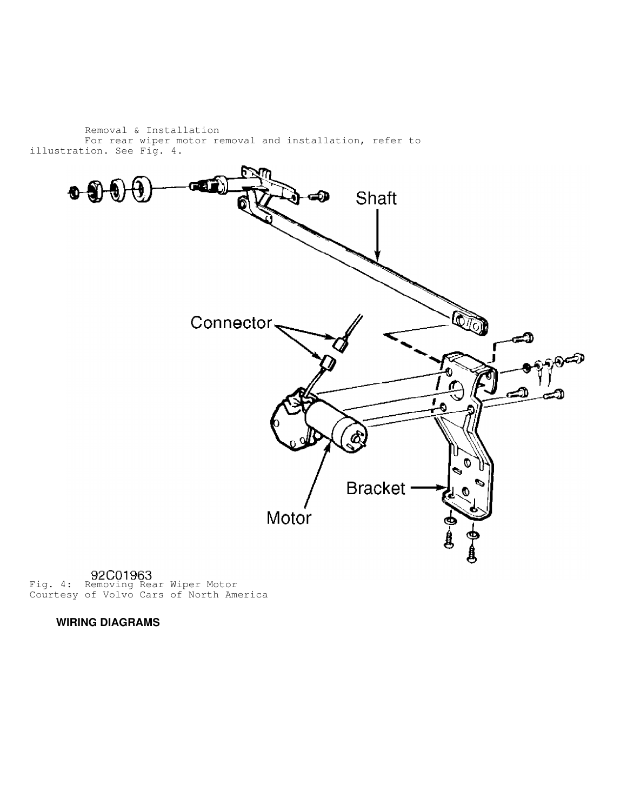Removal & Installation For rear wiper motor removal and installation, refer to illustration. See Fig. 4.



Fig. 4: Removing Rear Wiper Motor Courtesy of Volvo Cars of North America

 **WIRING DIAGRAMS**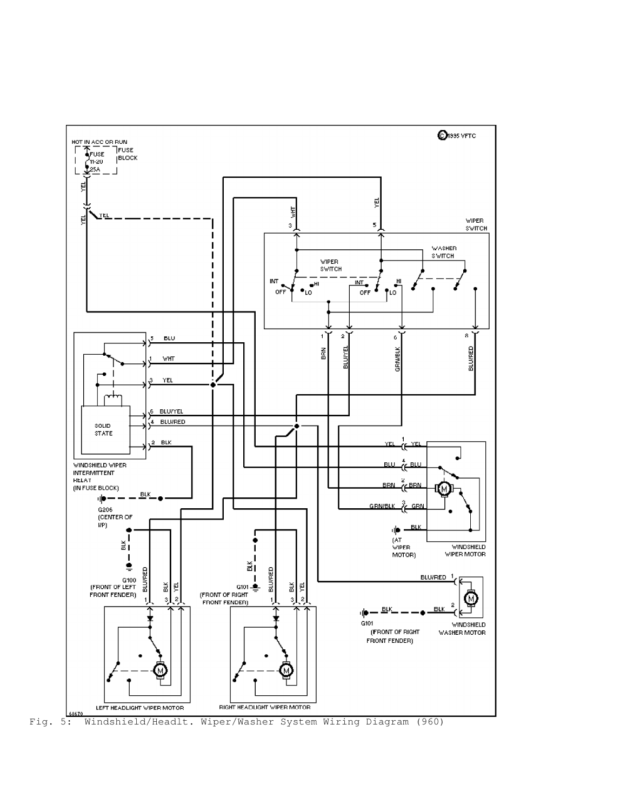

Fig. 5: Windshield/Headlt. Wiper/Washer System Wiring Diagram (960)